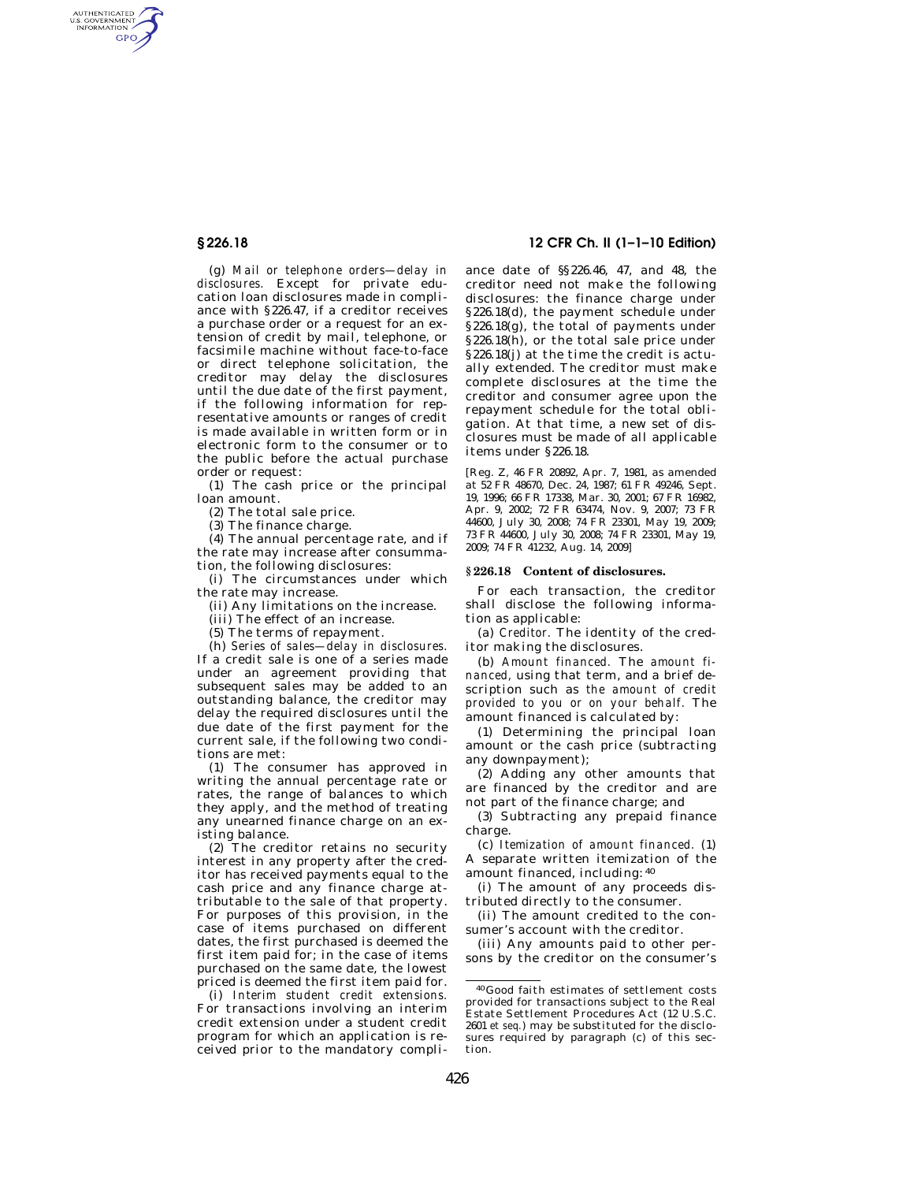AUTHENTICATED<br>U.S. GOVERNMENT<br>INFORMATION **GPO** 

> (g) *Mail or telephone orders—delay in disclosures.* Except for private education loan disclosures made in compliance with §226.47, if a creditor receives a purchase order or a request for an extension of credit by mail, telephone, or facsimile machine without face-to-face or direct telephone solicitation, the creditor may delay the disclosures until the due date of the first payment, if the following information for representative amounts or ranges of credit is made available in written form or in electronic form to the consumer or to the public before the actual purchase order or request:

> (1) The cash price or the principal loan amount.

(2) The total sale price.

(3) The finance charge.

(4) The annual percentage rate, and if the rate may increase after consummation, the following disclosures:

(i) The circumstances under which the rate may increase.

(ii) Any limitations on the increase.

(iii) The effect of an increase.

(5) The terms of repayment.

(h) *Series of sales—delay in disclosures.*  If a credit sale is one of a series made under an agreement providing that subsequent sales may be added to an outstanding balance, the creditor may delay the required disclosures until the due date of the first payment for the current sale, if the following two conditions are met:

(1) The consumer has approved in writing the annual percentage rate or rates, the range of balances to which they apply, and the method of treating any unearned finance charge on an existing balance.

(2) The creditor retains no security interest in any property after the creditor has received payments equal to the cash price and any finance charge attributable to the sale of that property. For purposes of this provision, in the case of items purchased on different dates, the first purchased is deemed the first item paid for; in the case of items purchased on the same date, the lowest priced is deemed the first item paid for.

(i) *Interim student credit extensions.*  For transactions involving an interim credit extension under a student credit program for which an application is received prior to the mandatory compli-

# **§ 226.18 12 CFR Ch. II (1–1–10 Edition)**

ance date of §§226.46, 47, and 48, the creditor need not make the following disclosures: the finance charge under §226.18(d), the payment schedule under §226.18(g), the total of payments under §226.18(h), or the total sale price under §226.18(j) at the time the credit is actually extended. The creditor must make complete disclosures at the time the creditor and consumer agree upon the repayment schedule for the total obligation. At that time, a new set of disclosures must be made of all applicable items under §226.18.

[Reg. Z, 46 FR 20892, Apr. 7, 1981, as amended at 52 FR 48670, Dec. 24, 1987; 61 FR 49246, Sept. 19, 1996; 66 FR 17338, Mar. 30, 2001; 67 FR 16982, Apr. 9, 2002; 72 FR 63474, Nov. 9, 2007; 73 FR 44600, July 30, 2008; 74 FR 23301, May 19, 2009; 73 FR 44600, July 30, 2008; 74 FR 23301, May 19, 2009; 74 FR 41232, Aug. 14, 2009]

#### **§ 226.18 Content of disclosures.**

For each transaction, the creditor shall disclose the following information as applicable:

(a) *Creditor.* The identity of the creditor making the disclosures.

(b) *Amount financed.* The *amount financed,* using that term, and a brief description such as *the amount of credit provided to you or on your behalf.* The amount financed is calculated by:

(1) Determining the principal loan amount or the cash price (subtracting any downpayment);

(2) Adding any other amounts that are financed by the creditor and are not part of the finance charge; and

(3) Subtracting any prepaid finance charge.

(c) *Itemization of amount financed.* (1) A separate written itemization of the amount financed, including: 40

(i) The amount of any proceeds distributed directly to the consumer.

(ii) The amount credited to the consumer's account with the creditor.

(iii) Any amounts paid to other persons by the creditor on the consumer's

40 Good faith estimates of settlement costs provided for transactions subject to the Real Estate Settlement Procedures Act (12 U.S.C. 2601 *et seq.*) may be substituted for the disclosures required by paragraph (c) of this section.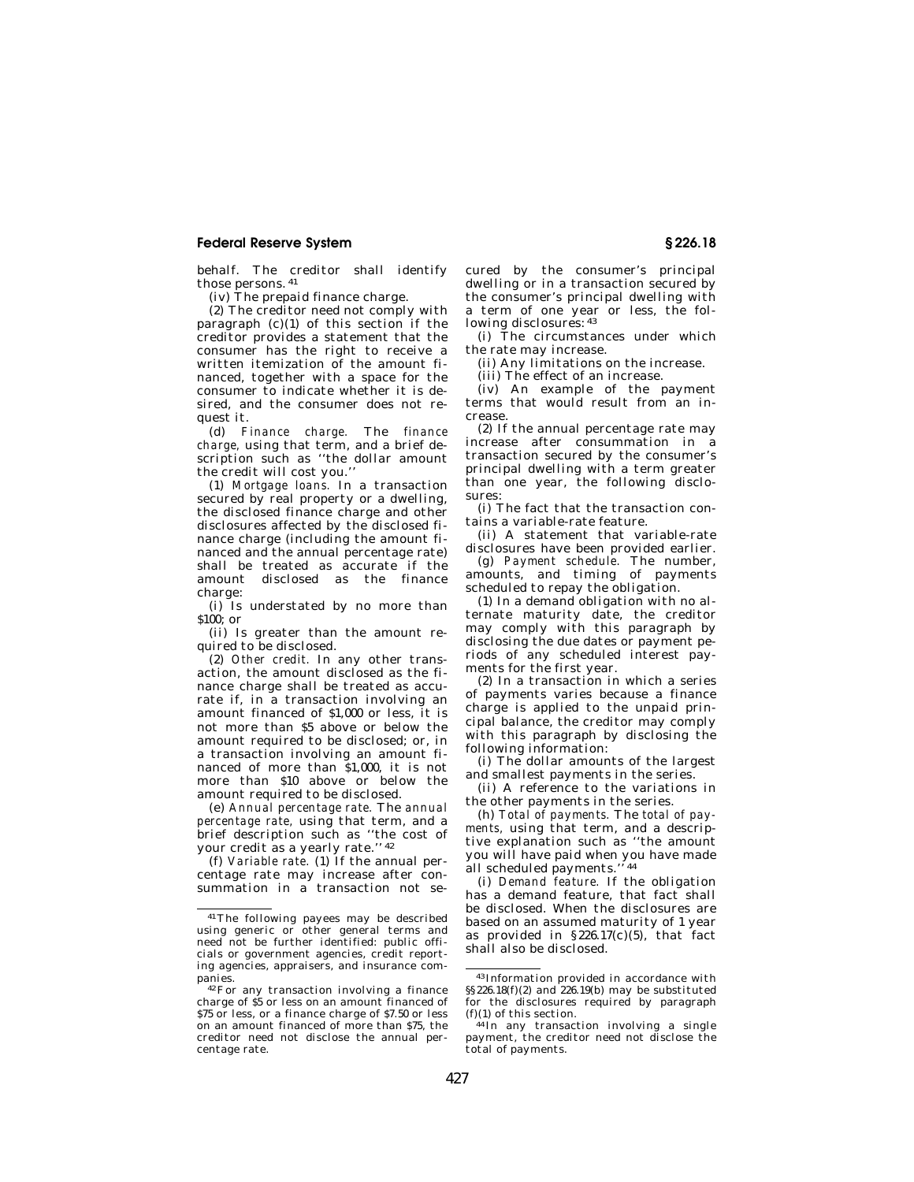## **Federal Reserve System § 226.18**

behalf. The creditor shall identify those persons. 41

(iv) The prepaid finance charge.

(2) The creditor need not comply with paragraph  $(c)(1)$  of this section if the creditor provides a statement that the consumer has the right to receive a written itemization of the amount financed, together with a space for the consumer to indicate whether it is desired, and the consumer does not request it.

(d) *Finance charge.* The *finance charge,* using that term, and a brief description such as ''the dollar amount the credit will cost you.''

(1) *Mortgage loans.* In a transaction secured by real property or a dwelling, the disclosed finance charge and other disclosures affected by the disclosed finance charge (including the amount financed and the annual percentage rate) shall be treated as accurate if the amount disclosed as the finance charge:

(i) Is understated by no more than \$100; or

(ii) Is greater than the amount required to be disclosed.

(2) *Other credit.* In any other transaction, the amount disclosed as the finance charge shall be treated as accurate if, in a transaction involving an amount financed of \$1,000 or less, it is not more than \$5 above or below the amount required to be disclosed; or, in a transaction involving an amount financed of more than \$1,000, it is not more than \$10 above or below the amount required to be disclosed.

(e) *Annual percentage rate.* The *annual percentage rate,* using that term, and a brief description such as ''the cost of your credit as a yearly rate.'' 42

(f) *Variable rate.* (1) If the annual percentage rate may increase after consummation in a transaction not secured by the consumer's principal dwelling or in a transaction secured by the consumer's principal dwelling with a term of one year or less, the following disclosures:  $43$ 

(i) The circumstances under which the rate may increase.

(ii) Any limitations on the increase.

(iii) The effect of an increase.

(iv) An example of the payment terms that would result from an increase.

(2) If the annual percentage rate may increase after consummation in a transaction secured by the consumer's principal dwelling with a term greater than one year, the following disclosures:

(i) The fact that the transaction contains a variable-rate feature.

(ii) A statement that variable-rate disclosures have been provided earlier.

(g) *Payment schedule.* The number, amounts, and timing of payments scheduled to repay the obligation.

(1) In a demand obligation with no alternate maturity date, the creditor may comply with this paragraph by disclosing the due dates or payment periods of any scheduled interest payments for the first year.

(2) In a transaction in which a series of payments varies because a finance charge is applied to the unpaid principal balance, the creditor may comply with this paragraph by disclosing the following information:

(i) The dollar amounts of the largest and smallest payments in the series.

(ii) A reference to the variations in the other payments in the series.

(h) *Total of payments.* The *total of payments,* using that term, and a descriptive explanation such as ''the amount you will have paid when you have made all scheduled payments."<sup>44</sup>

(i) *Demand feature.* If the obligation has a demand feature, that fact shall be disclosed. When the disclosures are based on an assumed maturity of 1 year as provided in  $$226.17(c)(5)$ , that fact shall also be disclosed.

<sup>41</sup>The following payees may be described using generic or other general terms and need not be further identified: public officials or government agencies, credit reporting agencies, appraisers, and insurance companies.<br><sup>42</sup>For any transaction involving a finance

charge of \$5 or less on an amount financed of \$75 or less, or a finance charge of \$7.50 or less on an amount financed of more than \$75, the creditor need not disclose the annual percentage rate.

<sup>43</sup> Information provided in accordance with §§226.18(f)(2) and 226.19(b) may be substituted for the disclosures required by paragraph  $(f)(1)$  of this section.

<sup>&</sup>lt;sup>44</sup> In any transaction involving a single payment, the creditor need not disclose the total of payments.